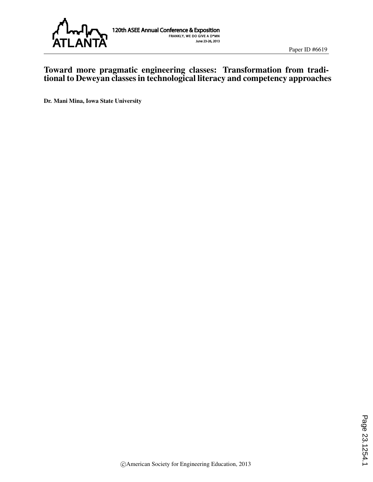

#### Toward more pragmatic engineering classes: Transformation from traditional to Deweyan classes in technological literacy and competency approaches

Dr. Mani Mina, Iowa State University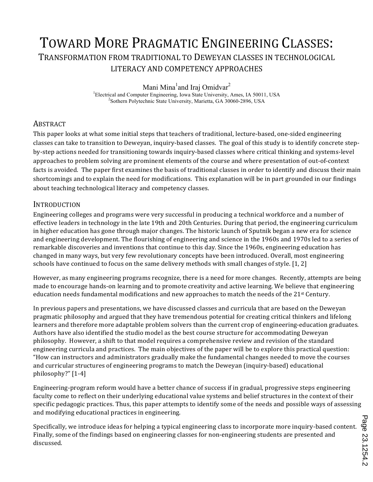# TOWARD MORE PRAGMATIC ENGINEERING CLASSES: TRANSFORMATION'FROM'TRADITIONAL'TO'DEWEYAN'CLASSES'IN'TECHNOLOGICAL' LITERACY AND COMPETENCY APPROACHES

Mani Mina<sup>1</sup>and Iraj Omidvar<sup>2</sup>

<sup>1</sup>Electrical and Computer Engineering, Iowa State University, Ames, IA 50011, USA <sup>2</sup>Sothern Polytephia State University, Meriette, GA 20060, 2806, USA <sup>2</sup>Sothern Polytechnic State University, Marietta, GA 30060-2896, USA

#### **ABSTRACT**

This paper looks at what some initial steps that teachers of traditional, lecture-based, one-sided engineering classes can take to transition to Deweyan, inquiry-based classes. The goal of this study is to identify concrete stepby-step actions needed for transitioning towards inquiry-based classes where critical thinking and systems-level approaches to problem solving are prominent elements of the course and where presentation of out-of-context' facts is avoided. The paper first examines the basis of traditional classes in order to identify and discuss their main shortcomings and to explain the need for modifications. This explanation will be in part grounded in our findings about teaching technological literacy and competency classes.

#### INTRODUCTION

Engineering colleges and programs were very successful in producing a technical workforce and a number of effective leaders in technology in the late 19th and 20th Centuries. During that period, the engineering curriculum in'higher'education'has gone through major changes. The historic launch of Sputnik began a new era for science and engineering development. The flourishing of engineering and science in the 1960s and 1970s led to a series of remarkable discoveries and inventions that continue to this day. Since the 1960s, engineering education has changed in many ways, but very few revolutionary concepts have been introduced. Overall, most engineering schools' have continued to focus on the same delivery methods with small changes of style. [1, 2]

However, as many engineering programs recognize, there is a need for more changes. Recently, attempts are being made to encourage hands-on learning and to promote creativity and active learning. We believe that engineering education'needs fundamental modifications and new approaches to match the needs of the  $21<sup>st</sup>$  Century.

In previous papers and presentations, we have discussed classes and curricula that are based on the Deweyan' pragmatic philosophy and argued that they have tremendous potential for creating critical thinkers and lifelong learners and therefore more adaptable problem solvers than the current crop of engineering-education graduates. Authors have also identified the studio model as the best course structure for accommodating Deweyan philosophy. However, a shift to that model requires a comprehensive review and revision of the standard engineering curricula and practices. The main objectives of the paper will be to explore this practical question: "How'can'instructors'and'administrators'gradually'make'the'fundamental'changes'needed'to'move'the'courses' and curricular structures of engineering programs to match the Deweyan (inquiry-based) educational  $philosophy$ ?"  $[1-4]$ 

Engineering-program reform would have a better chance of success if in gradual, progressive steps engineering faculty come to reflect on their underlying educational value systems and belief structures in the context of their specific pedagogic practices. Thus, this paper attempts to identify some of the needs and possible ways of assessing and modifying educational practices in engineering.

Specifically, we introduce ideas for helping a typical engineering class to incorporate more inquiry-based content. Finally, some of the findings based on engineering classes for non-engineering students are presented and discussed.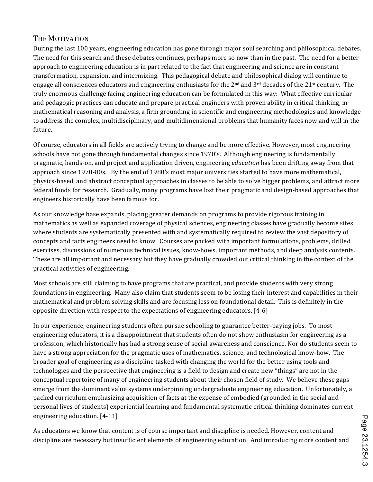## THE MOTIVATION

During the last 100 years, engineering education has gone through major soul searching and philosophical debates. The need for this search and these debates continues, perhaps more so now than in the past. The need for a better approach to engineering education is in part related to the fact that engineering and science are in constant transformation, expansion, and intermixing. This pedagogical debate and philosophical dialog will continue to engage all consciences educators and engineering enthusiasts for the  $2<sup>nd</sup>$  and  $3<sup>rd</sup>$  decades of the  $21<sup>st</sup>$  century. The truly enormous challenge facing engineering education can be formulated in this way: What effective curricular and pedagogic practices can educate and prepare practical engineers with proven ability in critical thinking, in mathematical reasoning and analysis, a firm grounding in scientific and engineering methodologies and knowledge to address the complex, multidisciplinary, and multidimensional problems that humanity faces now and will in the future.

Of course, educators in all fields are actively trying to change and be more effective. However, most engineering schools have not gone through fundamental changes since 1970's. Although engineering is fundamentally pragmatic, hands-on, and project and application driven, engineering *education* has been drifting away from that approach since 1970-80s. By the end of 1980's most major universities started to have more mathematical, physics-based, and abstract conceptual approaches in classes to be able to solve bigger problems, and attract more federal funds for research. Gradually, many programs have lost their pragmatic and design-based approaches that engineers historically have been famous for.

As our knowledge base expands, placing greater demands on programs to provide rigorous training in mathematics as well as expanded coverage of physical sciences, engineering classes have gradually become sites where students are systematically presented with and systematically required to review the vast depository of concepts and facts engineers need to know. Courses are packed with important formulations, problems, drilled exercises, discussions of numerous technical issues, know-hows, important methods, and deep analysis contents. These are all important and necessary but they have gradually crowded out critical thinking in the context of the practical activities of engineering.

Most schools are still claiming to have programs that are practical, and provide students with very strong' foundations in engineering. Many also claim that students seem to be losing their interest and capabilities in their mathematical and problem solving skills and are focusing less on foundational detail. This is definitely in the opposite direction with respect to the expectations of engineering educators. [4-6]

In our experience, engineering students often pursue schooling to guarantee better-paying jobs. To most engineering educators, it is a disappointment that students often do not show enthusiasm for engineering as a profession, which historically has had a strong sense of social awareness and conscience. Nor do students seem to have a strong appreciation for the pragmatic uses of mathematics, science, and technological know-how. The broader goal of engineering as a discipline tasked with changing the world for the better using tools and technologies and the perspective that engineering is a field to design and create new "things" are not in the conceptual repertoire of many of engineering students about their chosen field of study. We believe these gaps emerge from the dominant value systems underpinning undergraduate engineering education.' Unfortunately, a packed curriculum emphasizing acquisition of facts at the expense of embodied (grounded in the social and personal lives of students) experiential learning and fundamental systematic critical thinking dominates current engineering education. [4-11]

As educators we know that content is of course important and discipline is needed. However, content and discipline are necessary but insufficient elements of engineering education. And introducing more content and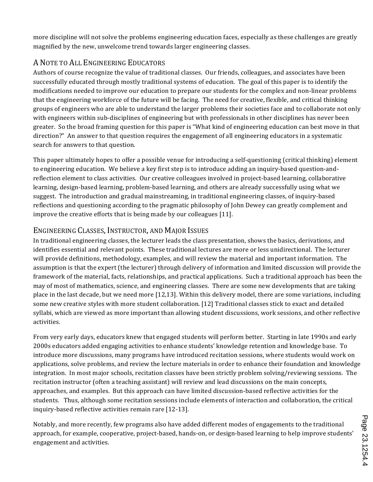more discipline will not solve the problems engineering education faces, especially as these challenges are greatly magnified by the new, unwelcome trend towards larger engineering classes.

## A NOTE TO ALL ENGINEERING EDUCATORS

Authors of course recognize the value of traditional classes. Our friends, colleagues, and associates have been successfully educated through mostly traditional systems of education. The goal of this paper is to identify the modifications' needed to improve our education to prepare our students for the complex and non-linear problems that the engineering workforce of the future will be facing. The need for creative, flexible, and critical thinking groups of engineers who are able to understand the larger problems their societies face and to collaborate not only with engineers within sub-disciplines of engineering but with professionals in other disciplines has never been greater. So the broad framing question for this paper is "What kind of engineering education can best move in that direction?" An answer to that question requires the engagement of all engineering educators in a systematic search for answers to that question.

This paper ultimately hopes to offer a possible venue for introducing a self-questioning (critical thinking) element to engineering education.' We believe a key first step is to introduce adding an inquiry-based question-andreflection'element'to class activities. Our creative colleagues involved in project-based learning, collaborative learning, design-based learning, problem-based learning, and others are already successfully using what we suggest. The introduction and gradual mainstreaming, in traditional engineering classes, of inquiry-based reflections and questioning according to the pragmatic philosophy of John Dewey can greatly complement and improve the creative efforts that is being made by our colleagues [11].

## ENGINEERING CLASSES, INSTRUCTOR, AND MAJOR ISSUES

In traditional engineering classes, the lecturer leads the class presentation, shows the basics, derivations, and identifies essential and relevant points. These traditional lectures are more or less unidirectional. The lecturer will provide definitions, methodology, examples, and will review the material and important information. The assumption is that the expert (the lecturer) through delivery of information and limited discussion will provide the framework of the material, facts, relationships, and practical applications. Such a traditional approach has been the may of most of mathematics, science, and engineering classes. There are some new developments that are taking place in the last decade, but we need more [12,13]. Within this delivery model, there are some variations, including some new creative styles with more student collaboration. [12] Traditional classes stick to exact and detailed syllabi, which are viewed as more important than allowing student discussions, work sessions, and other reflective activities.

From very early days, educators knew that engaged students will perform better. Starting in late 1990s and early 2000s educators added engaging activities to enhance students' knowledge retention and knowledge base. To introduce more discussions, many programs have introduced recitation sessions, where students would work on applications, solve problems, and review the lecture materials in order to enhance their foundation and knowledge integration. In most major schools, recitation classes have been strictly problem solving/reviewing sessions. The recitation instructor (often a teaching assistant) will review and lead discussions on the main concepts, approaches, and examples. But this approach can have limited discussion-based reflective activities for the students. Thus, although some recitation sessions include elements of interaction and collaboration, the critical inquiry-based reflective activities remain rare [12-13].

Notably, and more recently, few programs also have added different modes of engagements to the traditional approach, for example, cooperative, project-based, hands-on, or design-based learning to help improve students' engagement and activities.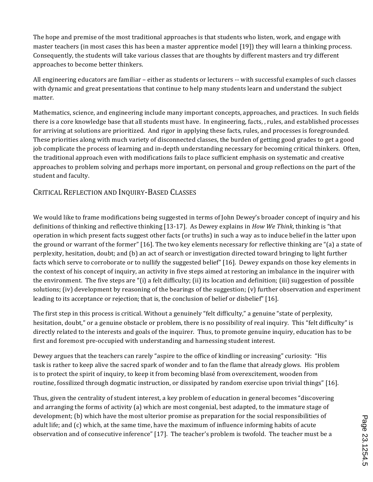The hope and premise of the most traditional approaches is that students who listen, work, and engage with' master teachers (in most cases this has been a master apprentice model [19]) they will learn a thinking process. Consequently, the students will take various classes that are thoughts by different masters and try different approaches to become better thinkers.

All engineering educators are familiar – either as students or lecturers -- with successful examples of such classes with dynamic and great presentations that continue to help many students learn and understand the subject matter.

Mathematics, science, and engineering include many important concepts, approaches, and practices. In such fields there is a core knowledge base that all students must have. In engineering, facts,, rules, and established processes for arriving at solutions are prioritized. And rigor in applying these facts, rules, and processes is foregrounded. These priorities along with much variety of disconnected classes, the burden of getting good grades to get a good job complicate the process of learning and in-depth understanding necessary for becoming critical thinkers. Often, the traditional approach even with modifications fails to place sufficient emphasis on systematic and creative approaches to problem solving and perhaps more important, on personal and group reflections on the part of the student and faculty.

## CRITICAL REFLECTION AND INQUIRY-BASED CLASSES

We would like to frame modifications being suggested in terms of John Dewey's broader concept of inquiry and his definitions of thinking and reflective thinking [13-17]. As Dewey explains in *How We Think*, thinking is "that operation in which present facts suggest other facts (or truths) in such a way as to induce belief in the latter upon the ground or warrant of the former" [16]. The two key elements necessary for reflective thinking are "(a) a state of perplexity, hesitation, doubt; and (b) an act of search or investigation directed toward bringing to light further facts which serve to corroborate or to nullify the suggested belief" [16]. Dewey expands on those key elements in the context of his concept of inquiry, an activity in five steps aimed at restoring an imbalance in the inquirer with the environment. The five steps are "(i) a felt difficulty; (ii) its location and definition; (iii) suggestion of possible solutions; (iv) development by reasoning of the bearings of the suggestion; (v) further observation and experiment leading to its acceptance or rejection; that is, the conclusion of belief or disbelief" [16].

The first step in this process is critical. Without a genuinely "felt difficulty," a genuine "state of perplexity, hesitation, doubt," or a genuine obstacle or problem, there is no possibility of real inquiry. This "felt difficulty" is directly related to the interests and goals of the inquirer. Thus, to promote genuine inquiry, education has to be first and foremost pre-occupied with understanding and harnessing student interest.

Dewey argues that the teachers can rarely "aspire to the office of kindling or increasing" curiosity: "His' task is rather to keep alive the sacred spark of wonder and to fan the flame that already glows. His problem is to protect the spirit of inquiry, to keep it from becoming blasé from overexcitement, wooden from routine, fossilized through dogmatic instruction, or dissipated by random exercise upon trivial things" [16].

Thus, given the centrality of student interest, a key problem of education in general becomes "discovering' and arranging the forms of activity (a) which are most congenial, best adapted, to the immature stage of development; (b) which have the most ulterior promise as preparation for the social responsibilities of adult life; and (c) which, at the same time, have the maximum of influence informing habits of acute observation and of consecutive inference" [17]. The teacher's problem is twofold. The teacher must be a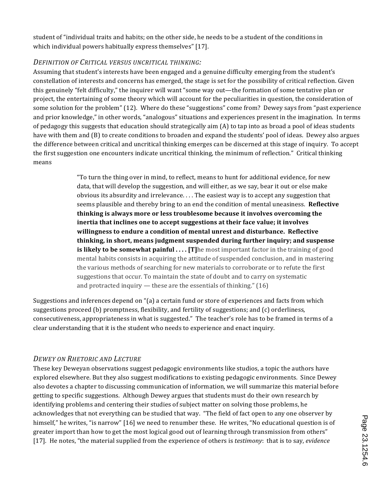student of "individual traits and habits; on the other side, he needs to be a student of the conditions in which individual powers habitually express themselves" [17].

#### *DEFINITION,OF,CRITICAL,VERSUS,UNCRITICAL,THINKING:*

Assuming that student's interests have been engaged and a genuine difficulty emerging from the student's constellation' of interests and concerns has emerged, the stage is set for the possibility of critical reflection. Given this genuinely "felt difficulty," the inquirer will want "some way out—the formation of some tentative plan or project, the entertaining of some theory which will account for the peculiarities in question, the consideration of some solution for the problem" (12). Where do these "suggestions" come from? Dewey says from "past experience and prior knowledge," in other words, "analogous" situations and experiences present in the imagination. In terms of pedagogy this suggests that education should strategically aim (A) to tap into as broad a pool of ideas students have with them and (B) to create conditions to broaden and expand the students' pool of ideas. Dewey also argues the difference between critical and uncritical thinking emerges can be discerned at this stage of inquiry. To accept the first suggestion one encounters indicate uncritical thinking, the minimum of reflection." Critical thinking means'

> "To turn the thing over in mind, to reflect, means to hunt for additional evidence, for new data, that will develop the suggestion, and will either, as we say, bear it out or else make obvious its absurdity and irrelevance.... The easiest way is to accept any suggestion that seems plausible and thereby bring to an end the condition of mental uneasiness. **Reflective thinking is always more or less troublesome because it involves overcoming the** inertia that inclines one to accept suggestions at their face value; it involves  $willingness to endure a condition of mental unrest and disturbance. *Reflective*$ **thinking, in short, means judgment suspended during further inquiry; and suspense is likely to be somewhat painful ....** [T]he most important factor in the training of good mental habits consists in acquiring the attitude of suspended conclusion, and in mastering the various methods of searching for new materials to corroborate or to refute the first suggestions that occur. To maintain the state of doubt and to carry on systematic and protracted inquiry  $-$  these are the essentials of thinking." (16)

Suggestions and inferences depend on "(a) a certain fund or store of experiences and facts from which suggestions proceed (b) promptness, flexibility, and fertility of suggestions; and (c) orderliness, consecutiveness, appropriateness in what is suggested." The teacher's role has to be framed in terms of a clear understanding that it is the student who needs to experience and enact inquiry.

## *DEWEY,ON,RHETORIC,AND,LECTURE*

These key Deweyan observations suggest pedagogic environments like studios, a topic the authors have explored elsewhere. But they also suggest modifications to existing pedagogic environments. Since Dewey' also'devotes' a chapter to discussing communication of information, we will summarize this material before' getting to specific suggestions. Although Dewey argues that students must do their own research by identifying problems and centering their studies of subject matter on solving those problems, he acknowledges that not everything can be studied that way. "The field of fact open to any one observer by himself," he writes, "is narrow" [16] we need to renumber these. He writes, "No educational question is of greater'import'than'how'to'get'the most logical good out of learning through transmission from others" [17]. He notes, "the material supplied from the experience of others is *testimony*: that is to say, *evidence*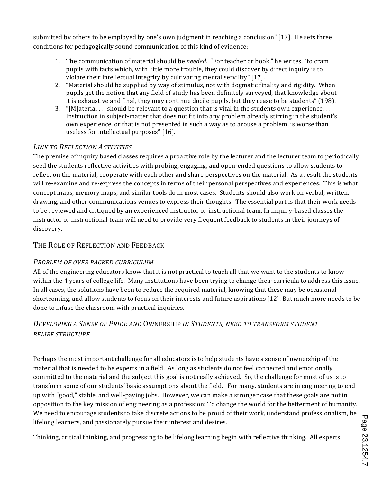submitted by others to be employed by one's own judgment in reaching a conclusion" [17]. He sets three conditions'for'pedagogically'sound'communication'of'this'kind'of'evidence:''

- 1. The communication of material should be *needed*. "For teacher or book," he writes, "to cram pupils with facts which, with little more trouble, they could discover by direct inquiry is to violate their intellectual integrity by cultivating mental servility" [17].
- 2. "Material should be supplied by way of stimulus, not with dogmatic finality and rigidity. When' pupils get the notion that any field of study has been definitely surveyed, that knowledge about it is exhaustive and final, they may continue docile pupils, but they cease to be students" (198).
- 3. "[M]aterial  $\ldots$ : should be relevant to a question that is vital in the students own experience.... Instruction in subject-matter that does not fit into any problem already stirring in the student's own experience, or that is not presented in such a way as to arouse a problem, is worse than useless for intellectual purposes" [16].

### *LINK,TO,REFLECTION,ACTIVITIES*

The premise of inquiry based classes requires a proactive role by the lecturer and the lecturer team to periodically seed the students reflective activities with probing, engaging, and open-ended questions to allow students to reflect on the material, cooperate with each other and share perspectives on the material. As a result the students will re-examine and re-express the concepts in terms of their personal perspectives and experiences. This is what concept maps, memory maps, and similar tools do in most cases. Students should also work on verbal, written, drawing, and other communications venues to express their thoughts. The essential part is that their work needs to be reviewed and critiqued by an experienced instructor or instructional team. In inquiry-based classes the instructor' or instructional team will need to provide very frequent feedback to students in their journeys of discovery.

#### THE ROLE OF REFLECTION AND FEEDBACK

#### *PROBLEM,OF,OVER,PACKED,CURRICULUM*

All of the engineering educators know that it is not practical to teach all that we want to the students to know within the 4 years of college life. Many institutions have been trying to change their curricula to address this issue. In all cases, the solutions have been to reduce the required material, knowing that these may be occasional shortcoming, and allow students to focus on their interests and future aspirations [12]. But much more needs to be done to infuse the classroom with practical inquiries.

## *DEVELOPING,A,SENSE,OF,PRIDE,AND,*OWNERSHIP *IN,STUDENTS, NEED,TO,TRANSFORM,STUDENT, BELIEF,STRUCTURE*

Perhaps the most important challenge for all educators is to help students have a sense of ownership of the material that is needed to be experts in a field. As long as students do not feel connected and emotionally committed to the material and the subject this goal is not really achieved. So, the challenge for most of us is to transform'some'of'our'students' basic assumptions about the field. For many, students are in engineering to end up with "good," stable, and well-paying jobs. However, we can make a stronger case that these goals are not in opposition to the key mission of engineering as a profession: To change the world for the betterment of humanity. We need to encourage students to take discrete actions to be proud of their work, understand professionalism, be lifelong learners, and passionately pursue their interest and desires.

Thinking, critical thinking, and progressing to be lifelong learning begin with reflective thinking. All experts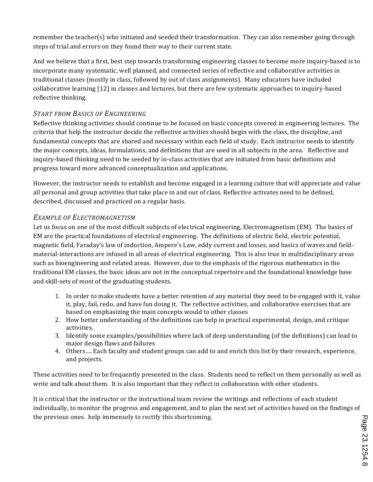remember the teacher(s) who initiated and seeded their transformation. They can also remember going through steps of trial and errors on they found their way to their current state.

And we believe that a first, best step towards transforming engineering classes to become more inquiry-based is to incorporate many systematic, well planned, and connected series of reflective and collaborative activities in traditional classes (mostly in class, followed by out of class assignments). Many educators have included collaborative learning [12] in classes and lectures, but there are few systematic approaches to inquiry-based reflective thinking.

#### **START FROM BASICS OF ENGINEERING**

Reflective thinking activities should continue to be focused on basic concepts covered in engineering lectures. The criteria that help the instructor decide the reflective activities should begin with the class, the discipline, and fundamental concepts that are shared and necessary within each field of study. Each instructor needs to identify the major concepts, ideas, formulations, and definitions that are used in all subjects in the area. Reflective and inquiry-based thinking need to be seeded by in-class activities that are initiated from basic definitions and progress toward more advanced conceptualization and applications.

However, the instructor needs to establish and become engaged in a learning culture that will appreciate and value all personal and group activities that take place in and out of class. Reflective activates need to be defined, described, discussed and practiced on a regular basis.

### *EXAMPLE,OF,ELECTROMAGNETISM*

Let us focus on one of the most difficult subjects of electrical engineering, Electromagnetism (EM). The basics of EM are the practical foundations of electrical engineering. The definitions of electric field, electric potential, magnetic field, Faraday's law of induction, Ampere's Law, eddy current and losses, and basics of waves and fieldmaterial-interactions are infused in all areas of electrical engineering. This is also true in multidisciplinary areas such as bioengineering and related areas. However, due to the emphasis of the rigorous mathematics in the traditional EM classes, the basic ideas are not in the conceptual repertoire and the foundational knowledge base and skill-sets of most of the graduating students.

- 1. In order to make students have a better retention of any material they need to be engaged with it, value it, play, fail, redo, and have fun doing it. The reflective activities, and collaborative exercises that are based on emphasizing the main concepts would to other classes
- 2. How better understanding of the definitions can help in practical experimental, design, and critique activities.
- 3. Identify some examples/possibilities where lack of deep understanding (of the definitions) can lead to major design flaws and failures
- 4. Others.... Each faculty and student groups can add to and enrich this list by their research, experience, and'projects.

These activities need to be frequently presented in the class. Students need to reflect on them personally as well as write and talk about them. It is also important that they reflect in collaboration with other students.

It is critical that the instructor or the instructional team review the writings and reflections of each student individually, to monitor the progress and engagement, and to plan the next set of activities based on the findings of the previous ones. help immensely to rectify this shortcoming.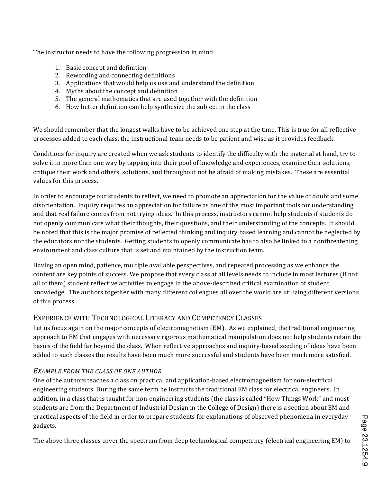The instructor needs to have the following progression in mind:

- 1. Basic concept and definition
- 2. Rewording and connecting definitions
- 3. Applications that would help us use and understand the definition
- 4. Myths about the concept and definition
- 5. The general mathematics that are used together with the definition
- 6. How better definition can help synthesize the subject in the class

We should remember that the longest walks have to be achieved one step at the time. This is true for all reflective processes added to each class, the instructional team needs to be patient and wise as it provides feedback.

Conditions for inquiry are created when we ask students to identify the difficulty with the material at hand, try to solve it in more than one way by tapping into their pool of knowledge and experiences, examine their solutions, critique their work and others' solutions, and throughout not be afraid of making mistakes. These are essential values for this process.

In order to encourage our students to reflect, we need to promote an appreciation for the value of doubt and some disorientation. Inquiry requires an appreciation for failure as one of the most important tools for understanding and that real failure comes from not trying ideas. In this process, instructors cannot help students if students do not openly communicate what their thoughts, their questions, and their understanding of the concepts. It should be noted that this is the major promise of reflected thinking and inquiry based learning and cannot be neglected by the educators nor the students. Getting students to openly communicate has to also be linked to a nonthreatening environment and class culture that is set and maintained by the instruction team.

Having an open mind, patience, multiple available perspectives, and repeated processing as we enhance the content are key points of success. We propose that every class at all levels needs to include in most lectures (if not all of them) student reflective activities to engage in the above-described critical examination of student knowledge. The authors together with many different colleagues all over the world are utilizing different versions of this process.

## EXPERIENCE WITH TECHNOLOGICAL LITERACY AND COMPETENCY CLASSES

Let us focus again on the major concepts of electromagnetism (EM). As we explained, the traditional engineering approach to EM that engages with necessary rigorous mathematical manipulation does not help students retain the basics of the field far beyond the class. When reflective approaches and inquiry-based seeding of ideas have been added to such classes the results have been much more successful and students have been much more satisfied.

## *EXAMPLE,FROM,THE,CLASS,OF,ONE,AUTHOR*

One of the authors teaches a class on practical and application-based electromagnetism for non-electrical engineering students. During the same term he instructs the traditional EM class for electrical engineers. In addition, in a class that is taught for non-engineering students (the class is called "How Things Work" and most students are from the Department of Industrial Design in the College of Design) there is a section about EM and practical aspects of the field in order to prepare students for explanations of observed phenomena in everyday gadgets.'

The above three classes cover the spectrum from deep technological competency (electrical engineering EM) to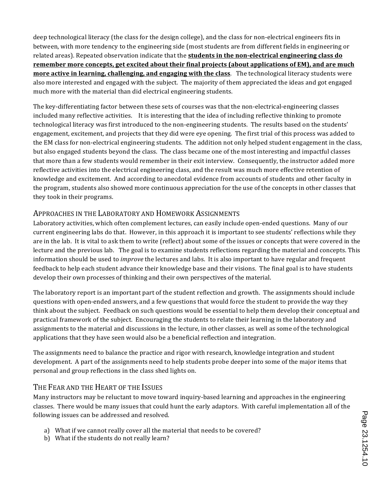deep technological literacy (the class for the design college), and the class for non-electrical engineers fits in between, with more tendency to the engineering side (most students are from different fields in engineering or related areas). Repeated observation indicate that the **students in the non-electrical engineering class do remember more concepts, get excited about their final projects (about applications of EM), and are much more active in learning, challenging, and engaging with the class**. The technological literacy students were also more interested and engaged with the subject. The majority of them appreciated the ideas and got engaged much more with the material than did electrical engineering students.

The key-differentiating factor between these sets of courses was that the non-electrical-engineering classes included many reflective activities. It is interesting that the idea of including reflective thinking to promote technological literacy was first introduced to the non-engineering students. The results based on the students' engagement, excitement, and projects that they did were eye opening. The first trial of this process was added to the EM class for non-electrical engineering students. The addition not only helped student engagement in the class, but also engaged students beyond the class. The class became one of the most interesting and impactful classes that more than a few students would remember in their exit interview. Consequently, the instructor added more reflective activities into the electrical engineering class, and the result was much more effective retention of knowledge and excitement.' And according to anecdotal evidence from accounts of students and other faculty in the program, students also showed more continuous appreciation for the use of the concepts in other classes that they took in their programs.

### APPROACHES IN THE LABORATORY AND HOMEWORK ASSIGNMENTS

Laboratory activities, which often complement lectures, can easily include open-ended questions.' Many of our current engineering labs do that. However, in this approach it is important to see students' reflections while they are in the lab. It is vital to ask them to write (reflect) about some of the issues or concepts that were covered in the lecture and the previous lab. The goal is to examine students reflections regarding the material and concepts. This information's hould'be used to *improve* the lectures and labs. It is also important to have regular and frequent feedback to help each student advance their knowledge base and their visions. The final goal is to have students develop their own processes of thinking and their own perspectives of the material.

The laboratory report is an important part of the student reflection and growth. The assignments should include questions with open-ended answers, and a few questions that would force the student to provide the way they think about the subject. Feedback on such questions would be essential to help them develop their conceptual and practical framework of the subject. Encouraging the students to relate their learning in the laboratory and assignments to the material and discussions in the lecture, in other classes, as well as some of the technological applications that they have seen would also be a beneficial reflection and integration.

The assignments need to balance the practice and rigor with research, knowledge integration and student development. A part of the assignments need to help students probe deeper into some of the major items that personal and group reflections in the class shed lights on.

#### THE FEAR AND THE HEART OF THE ISSUES

Many instructors may be reluctant to move toward inquiry-based learning and approaches in the engineering' classes. There would be many issues that could hunt the early adaptors. With careful implementation all of the following issues can be addressed and resolved.

- a) What if we cannot really cover all the material that needs to be covered?
- b) What if the students do not really learn?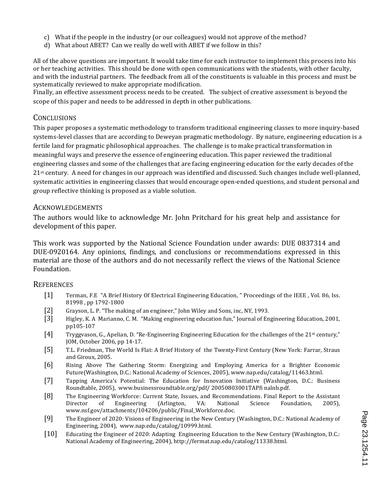- c) What if the people in the industry (or our colleagues) would not approve of the method?
- d) What about ABET? Can we really do well with ABET if we follow in this?

All of the above questions are important. It would take time for each instructor to implement this process into his or'her' teaching activities. This should be done with open communications with the students, with other faculty, and with the industrial partners. The feedback from all of the constituents is valuable in this process and must be systematically reviewed to make appropriate modification.

Finally, an effective assessment process needs to be created. The subject of creative assessment is beyond the scope of this paper and needs to be addressed in depth in other publications.

### **CONCLUSIONS**

This paper proposes a systematic methodology to transform traditional engineering classes to more inquiry-based systems-level classes that are according to Deweyan pragmatic methodology. By nature, engineering education is a fertile land for pragmatic philosophical approaches. The challenge is to make practical transformation in meaningful ways and preserve the essence of engineering education. This paper reviewed the traditional engineering classes and some of the challenges that are facing engineering education for the early decades of the 21<sup>st</sup> century. A need for changes in our approach was identified and discussed. Such changes include well-planned, systematic activities in engineering classes that would encourage open-ended questions, and student personal and group reflective thinking is proposed as a viable solution.

#### ACKNOWLEDGEMENTS

The authors would like to acknowledge Mr. John Pritchard for his great help and assistance for development of this paper.

This work was supported by the National Science Foundation under awards: DUE 0837314 and DUE-0920164. Any opinions, findings, and conclusions or recommendations expressed in this material are those of the authors and do not necessarily reflect the views of the National Science Foundation.

#### **REFERENCES**

- [1] Terman, F.E "A Brief History Of Electrical Engineering Education," Proceedings of the IEEE, Vol. 86, Iss. 81998, pp 1792-1800
- [2] Grayson, L. P. "The making of an engineer," John Wiley and Sons, inc, NY, 1993.
- [3] Higley, K. A Marianno, C. M. "Making engineering education fun," Journal of Engineering Education, 2001, pp105-107
- [4] Tryggvason, G., Apelian, D. "Re-Engineering Engineering Education for the challenges of the  $21$ <sup>st</sup> century," JOM, October 2006, pp 14-17.
- [5] T.L. Friedman, The World Is Flat: A Brief History of the Twenty-First Century (New York: Farrar, Straus' and Giroux, 2005.
- [6] Rising Above The Gathering Storm: Energizing and Employing America for a Brighter Economic Future(Washington, D.C.: National Academy of Sciences, 2005), www.nap.edu/catalog/11463.html.
- [7] Tapping America's Potential: The Education for Innovation Initiative (Washington, D.C.: Business Roundtable, 2005), www.businessroundtable.org/pdf/ 20050803001TAPfi nalnb.pdf.
- [8] The Engineering Workforce: Current State, Issues, and Recommendations. Final Report to the Assistant' Director of Engineering (Arlington, VA: National Science Foundation, 2005), www.nsf.gov/attachments/104206/public/Final\_Workforce.doc.
- [9] The Engineer of 2020: Visions of Engineering in the New Century (Washington, D.C.: National Academy of Engineering, 2004), www.nap.edu/catalog/10999.html.
- [10] Educating the Engineer of 2020: Adapting' Engineering Education to the New Century (Washington, D.C.: National Academy of Engineering, 2004), http://fermat.nap.edu/catalog/11338.html.